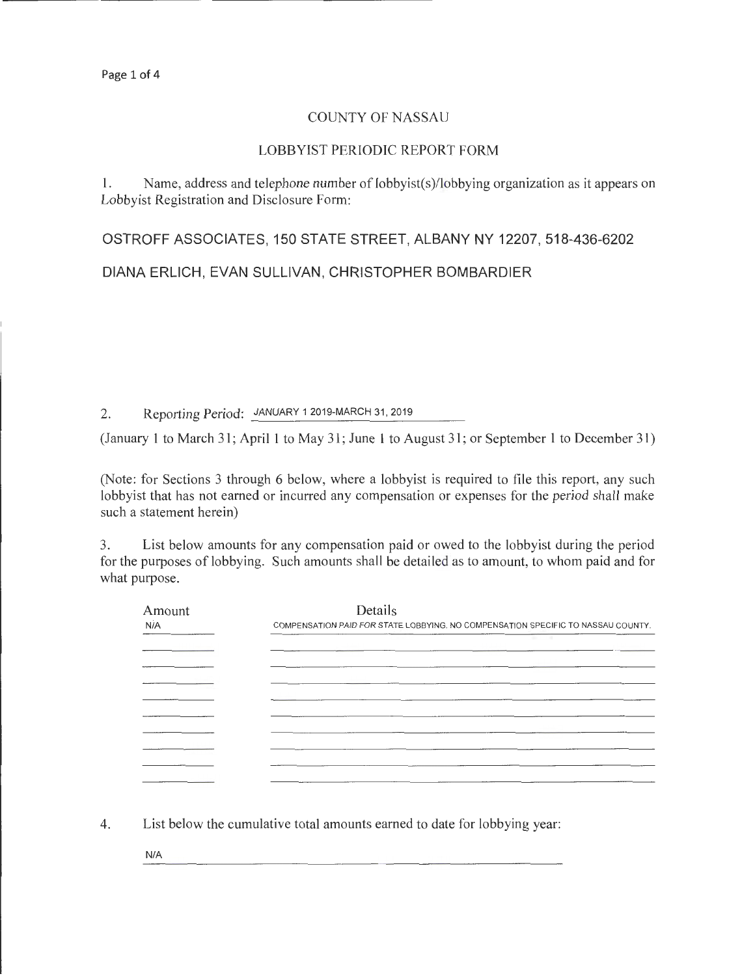## COUNTY OF NASSAU

## LOBBYIST PERIODIC REPORT FORM

**1.** Name, address and telephone number of lobbyist(s)/lobbying organization as it appears on Lobbyist Registration and Disclosure Form:

**OSTROFF ASSOCIATES, 150 STATE STREET, ALBANY NY 12207, 518-436-6202** 

**DIANA ERLICH, EVAN SULLIVAN, CHRISTOPHER BOMBARDIER** 

2. Reporting Period: JANUARY 1 2019-MARCH 31,2019

(January **1** to March 31; April **1** to May 31; June **1** to August 31; or September I to December 31)

(Note: for Sections 3 through 6 below, where a lobbyist is required to file this report, any such lobbyist that has not earned or incurred any compensation or expenses for the period shall make such a statement herein)

3. List below amounts for any compensation paid or owed to the lobbyist during the period for the purposes of lobbying. Such amounts shall be detailed as to amount, to whom paid and for what purpose.

| Amount<br>N/A | Details<br>COMPENSATION PAID FOR STATE LOBBYING. NO COMPENSATION SPECIFIC TO NASSAU COUNTY. |  |  |
|---------------|---------------------------------------------------------------------------------------------|--|--|
|               |                                                                                             |  |  |
|               |                                                                                             |  |  |
|               |                                                                                             |  |  |
|               |                                                                                             |  |  |
|               |                                                                                             |  |  |
|               |                                                                                             |  |  |
|               |                                                                                             |  |  |
|               |                                                                                             |  |  |

4. List below the cumulative total amounts earned to date for lobbying year:

N/A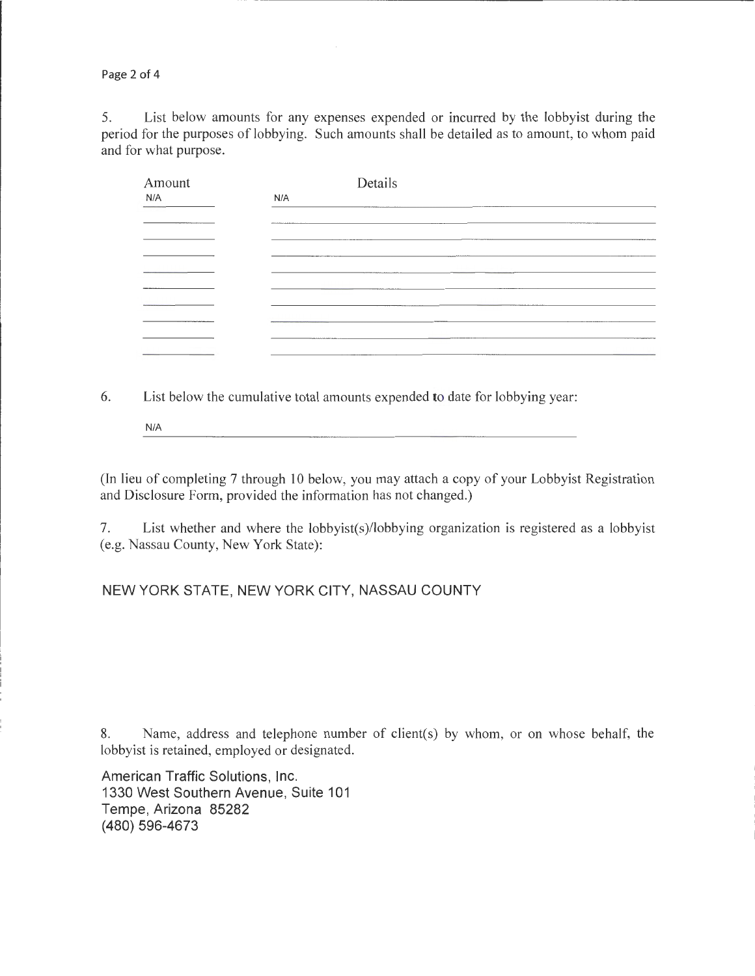Page 2 of 4

5. List below amounts for any expenses expended or incurred by the lobbyist during the period for the purposes of lobbying. Such amounts shall be detailed as to amount, to whom paid and for what purpose.

| Amount                                | Details                                                                                                                     |
|---------------------------------------|-----------------------------------------------------------------------------------------------------------------------------|
| N/A                                   | N/A                                                                                                                         |
|                                       |                                                                                                                             |
| <b>CONTINUES OF A SHOPLAN COMPANY</b> | __________                                                                                                                  |
|                                       | the contract of the contract of the contract of the contract of the contract of the contract of the contract of<br>________ |
|                                       | and the contract of the contract of the contract of the contract of the contract of the contract of the contract of         |
|                                       |                                                                                                                             |
|                                       |                                                                                                                             |
|                                       | The property of the Association of the Association                                                                          |
|                                       | the contract of the contract of the contract of the contract of the contract of the contract of the contract of             |
|                                       | ---------<br><b>The Sales Constitution Select Highler Constitution</b>                                                      |
|                                       |                                                                                                                             |

6. List below the cumulative total amounts expended to date for lobbying year:

N/A

(In lieu of completing 7 through 10 below, you may attach a copy of your Lobbyist Registration and Disclosure Form, provided the information has not changed.)

7. List whether and where the lobbyist(s)/lobbying organization is registered as a lobbyist (e.g. Nassau County, New York State):

## NEW YORK STATE, NEW YORK CITY, NASSAU COUNTY

8. Name, address and telephone number of client(s) by whom, or on whose behalf, the lobbyist is retained, employed or designated.

American Traffic Solutions, Inc. 1330 West Southern Avenue, Suite 101 Tempe, Arizona 85282 (480) 596-4673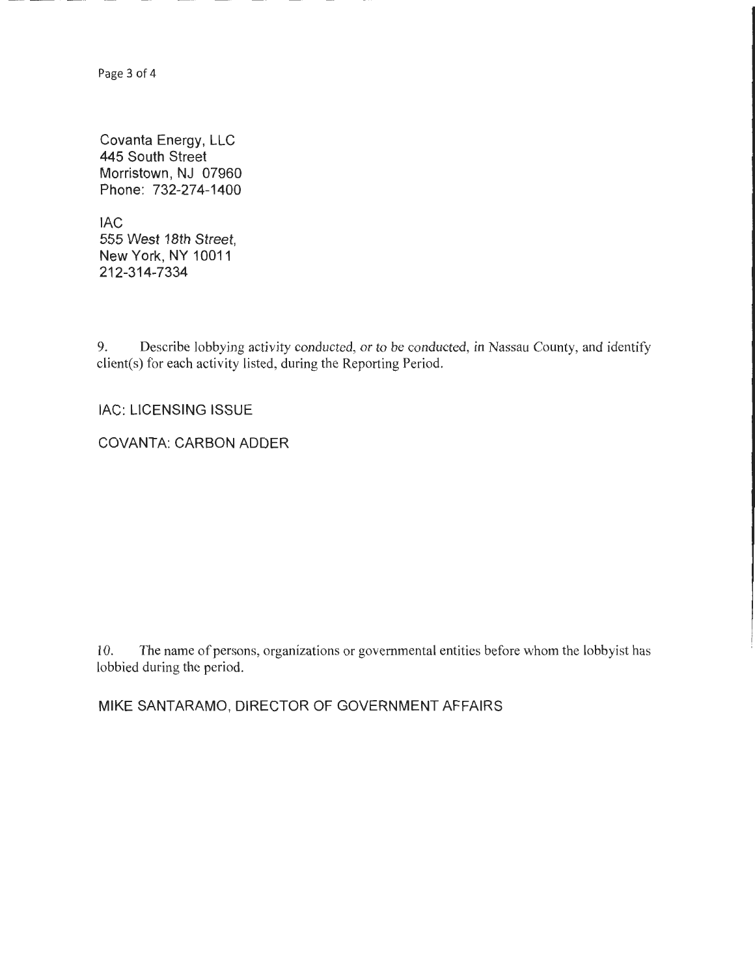Page 3 of 4

Covanta Energy, LLC 445 South Street Morristown, NJ 07960 Phone: 732-274-1400

lAC 555 West 18th Street, New York, NY 10011 212-314-7334

9. Describe lobbying activity conducted, or to be conducted, in Nassau County, and identify client(s) for each activity listed, during the Reporting Period.

lAC: LICENSING ISSUE

COVANTA: CARBON ADDER

10. The name of persons, organizations or governmental entities before whom the lobbyist has lobbied during the period.

MIKE SANTARAMO, DIRECTOR OF GOVERNMENT AFFAIRS